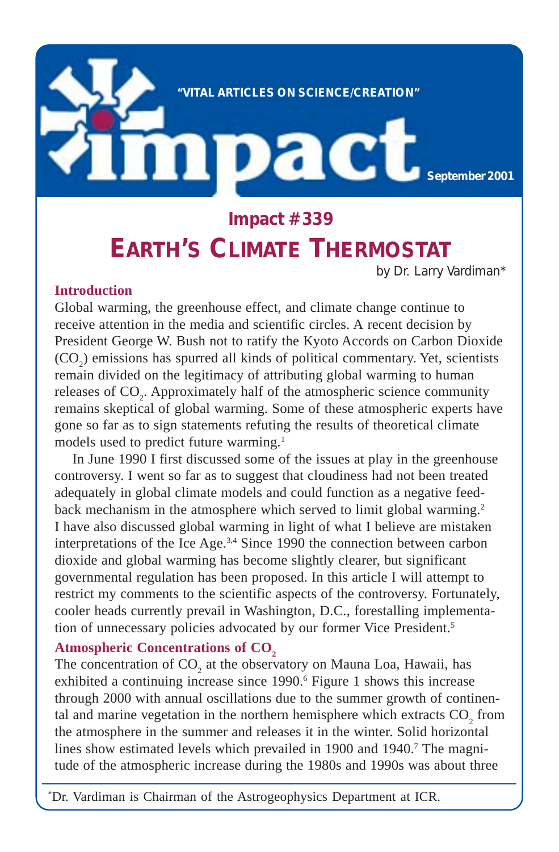

# **Impact #339 EARTH'S CLIMATE THERMOSTAT**

by Dr. Larry Vardiman\*

### **Introduction**

Global warming, the greenhouse effect, and climate change continue to receive attention in the media and scientific circles. A recent decision by President George W. Bush not to ratify the Kyoto Accords on Carbon Dioxide  $(CO<sub>2</sub>)$  emissions has spurred all kinds of political commentary. Yet, scientists remain divided on the legitimacy of attributing global warming to human releases of CO<sub>2</sub>. Approximately half of the atmospheric science community remains skeptical of global warming. Some of these atmospheric experts have gone so far as to sign statements refuting the results of theoretical climate models used to predict future warming.<sup>1</sup>

In June 1990 I first discussed some of the issues at play in the greenhouse controversy. I went so far as to suggest that cloudiness had not been treated adequately in global climate models and could function as a negative feedback mechanism in the atmosphere which served to limit global warming.<sup>2</sup> I have also discussed global warming in light of what I believe are mistaken interpretations of the Ice Age.3,4 Since 1990 the connection between carbon dioxide and global warming has become slightly clearer, but significant governmental regulation has been proposed. In this article I will attempt to restrict my comments to the scientific aspects of the controversy. Fortunately, cooler heads currently prevail in Washington, D.C., forestalling implementation of unnecessary policies advocated by our former Vice President.<sup>5</sup>

### Atmospheric Concentrations of CO<sub>2</sub>

The concentration of  $CO_2$  at the observatory on Mauna Loa, Hawaii, has exhibited a continuing increase since 1990.<sup>6</sup> Figure 1 shows this increase through 2000 with annual oscillations due to the summer growth of continental and marine vegetation in the northern hemisphere which extracts  $CO_2$  from the atmosphere in the summer and releases it in the winter. Solid horizontal lines show estimated levels which prevailed in 1900 and 1940.<sup>7</sup> The magnitude of the atmospheric increase during the 1980s and 1990s was about three

\* Dr. Vardiman is Chairman of the Astrogeophysics Department at ICR.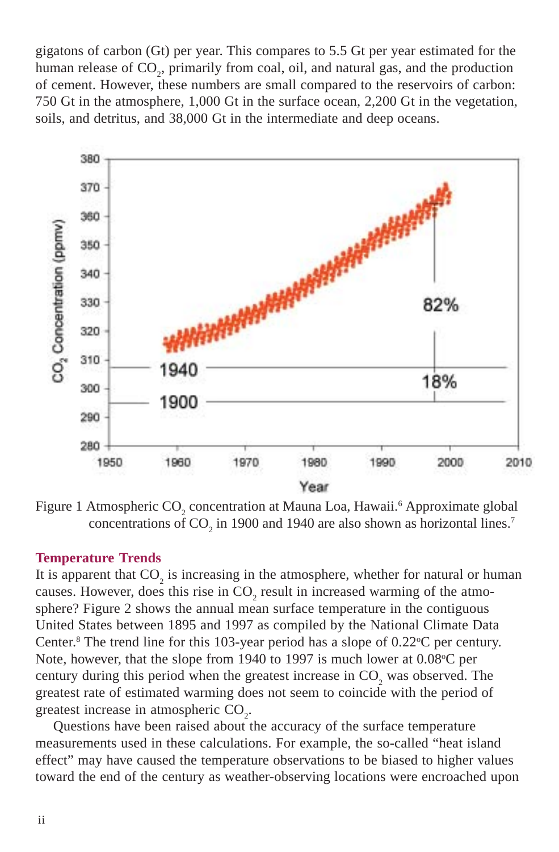gigatons of carbon (Gt) per year. This compares to 5.5 Gt per year estimated for the human release of CO<sub>2</sub>, primarily from coal, oil, and natural gas, and the production of cement. However, these numbers are small compared to the reservoirs of carbon: 750 Gt in the atmosphere, 1,000 Gt in the surface ocean, 2,200 Gt in the vegetation, soils, and detritus, and 38,000 Gt in the intermediate and deep oceans.



Figure 1 Atmospheric CO<sub>2</sub> concentration at Mauna Loa, Hawaii.<sup>6</sup> Approximate global concentrations of  $CO_2$  in 1900 and 1940 are also shown as horizontal lines.<sup>7</sup>

#### **Temperature Trends**

It is apparent that  $CO_2$  is increasing in the atmosphere, whether for natural or human causes. However, does this rise in  $CO_2$  result in increased warming of the atmosphere? Figure 2 shows the annual mean surface temperature in the contiguous United States between 1895 and 1997 as compiled by the National Climate Data Center.<sup>8</sup> The trend line for this 103-year period has a slope of  $0.22^{\circ}$ C per century. Note, however, that the slope from 1940 to 1997 is much lower at 0.08 °C per century during this period when the greatest increase in  $CO_2$  was observed. The greatest rate of estimated warming does not seem to coincide with the period of greatest increase in atmospheric  $CO<sub>2</sub>$ .

Questions have been raised about the accuracy of the surface temperature measurements used in these calculations. For example, the so-called "heat island effect" may have caused the temperature observations to be biased to higher values toward the end of the century as weather-observing locations were encroached upon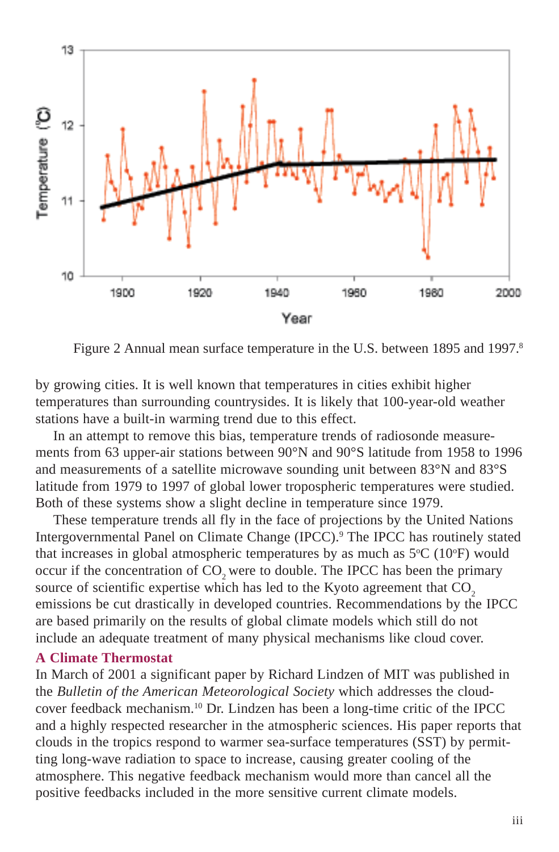

Figure 2 Annual mean surface temperature in the U.S. between 1895 and 1997.<sup>8</sup>

by growing cities. It is well known that temperatures in cities exhibit higher temperatures than surrounding countrysides. It is likely that 100-year-old weather stations have a built-in warming trend due to this effect.

In an attempt to remove this bias, temperature trends of radiosonde measurements from 63 upper-air stations between 90°N and 90°S latitude from 1958 to 1996 and measurements of a satellite microwave sounding unit between 83°N and 83°S latitude from 1979 to 1997 of global lower tropospheric temperatures were studied. Both of these systems show a slight decline in temperature since 1979.

These temperature trends all fly in the face of projections by the United Nations Intergovernmental Panel on Climate Change (IPCC).9 The IPCC has routinely stated that increases in global atmospheric temperatures by as much as  $5^{\circ}C$  (10 $^{\circ}F$ ) would occur if the concentration of CO<sub>2</sub> were to double. The IPCC has been the primary source of scientific expertise which has led to the Kyoto agreement that CO<sub>2</sub> emissions be cut drastically in developed countries. Recommendations by the IPCC are based primarily on the results of global climate models which still do not include an adequate treatment of many physical mechanisms like cloud cover.

#### **A Climate Thermostat**

In March of 2001 a significant paper by Richard Lindzen of MIT was published in the *Bulletin of the American Meteorological Society* which addresses the cloudcover feedback mechanism.10 Dr. Lindzen has been a long-time critic of the IPCC and a highly respected researcher in the atmospheric sciences. His paper reports that clouds in the tropics respond to warmer sea-surface temperatures (SST) by permitting long-wave radiation to space to increase, causing greater cooling of the atmosphere. This negative feedback mechanism would more than cancel all the positive feedbacks included in the more sensitive current climate models.